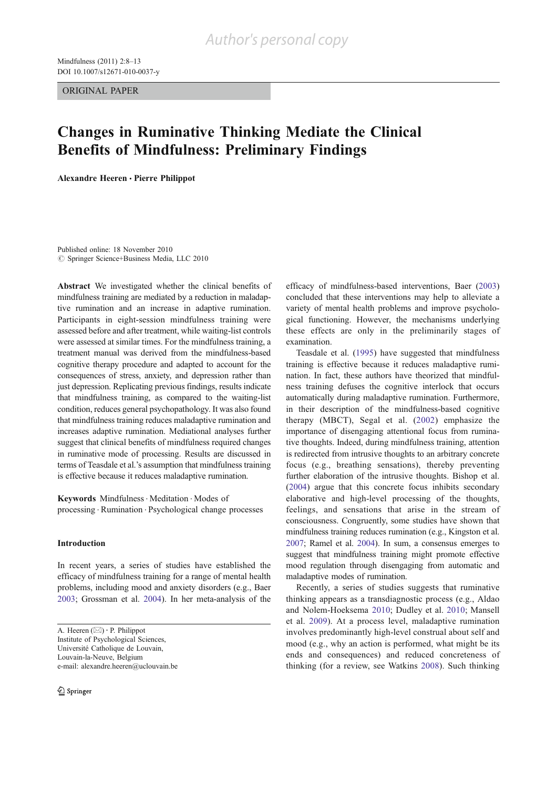ORIGINAL PAPER

# Changes in Ruminative Thinking Mediate the Clinical Benefits of Mindfulness: Preliminary Findings

Alexandre Heeren & Pierre Philippot

Published online: 18 November 2010  $\oslash$  Springer Science+Business Media, LLC 2010

Abstract We investigated whether the clinical benefits of mindfulness training are mediated by a reduction in maladaptive rumination and an increase in adaptive rumination. Participants in eight-session mindfulness training were assessed before and after treatment, while waiting-list controls were assessed at similar times. For the mindfulness training, a treatment manual was derived from the mindfulness-based cognitive therapy procedure and adapted to account for the consequences of stress, anxiety, and depression rather than just depression. Replicating previous findings, results indicate that mindfulness training, as compared to the waiting-list condition, reduces general psychopathology. It was also found that mindfulness training reduces maladaptive rumination and increases adaptive rumination. Mediational analyses further suggest that clinical benefits of mindfulness required changes in ruminative mode of processing. Results are discussed in terms of Teasdale et al.'s assumption that mindfulness training is effective because it reduces maladaptive rumination.

Keywords Mindfulness . Meditation . Modes of processing . Rumination . Psychological change processes

## Introduction

In recent years, a series of studies have established the efficacy of mindfulness training for a range of mental health problems, including mood and anxiety disorders (e.g., Baer 2003; Grossman et al. 2004). In her meta-analysis of the

A. Heeren  $(\boxtimes) \cdot$  P. Philippot Institute of Psychological Sciences, Université Catholique de Louvain, Louvain-la-Neuve, Belgium e-mail: alexandre.heeren@uclouvain.be efficacy of mindfulness-based interventions, Baer (2003) concluded that these interventions may help to alleviate a variety of mental health problems and improve psychological functioning. However, the mechanisms underlying these effects are only in the preliminarily stages of examination.

Teasdale et al. (1995) have suggested that mindfulness training is effective because it reduces maladaptive rumination. In fact, these authors have theorized that mindfulness training defuses the cognitive interlock that occurs automatically during maladaptive rumination. Furthermore, in their description of the mindfulness-based cognitive therapy (MBCT), Segal et al. (2002) emphasize the importance of disengaging attentional focus from ruminative thoughts. Indeed, during mindfulness training, attention is redirected from intrusive thoughts to an arbitrary concrete focus (e.g., breathing sensations), thereby preventing further elaboration of the intrusive thoughts. Bishop et al. (2004) argue that this concrete focus inhibits secondary elaborative and high-level processing of the thoughts, feelings, and sensations that arise in the stream of consciousness. Congruently, some studies have shown that mindfulness training reduces rumination (e.g., Kingston et al. 2007; Ramel et al. 2004). In sum, a consensus emerges to suggest that mindfulness training might promote effective mood regulation through disengaging from automatic and maladaptive modes of rumination.

Recently, a series of studies suggests that ruminative thinking appears as a transdiagnostic process (e.g., Aldao and Nolem-Hoeksema 2010; Dudley et al. 2010; Mansell et al. 2009). At a process level, maladaptive rumination involves predominantly high-level construal about self and mood (e.g., why an action is performed, what might be its ends and consequences) and reduced concreteness of thinking (for a review, see Watkins 2008). Such thinking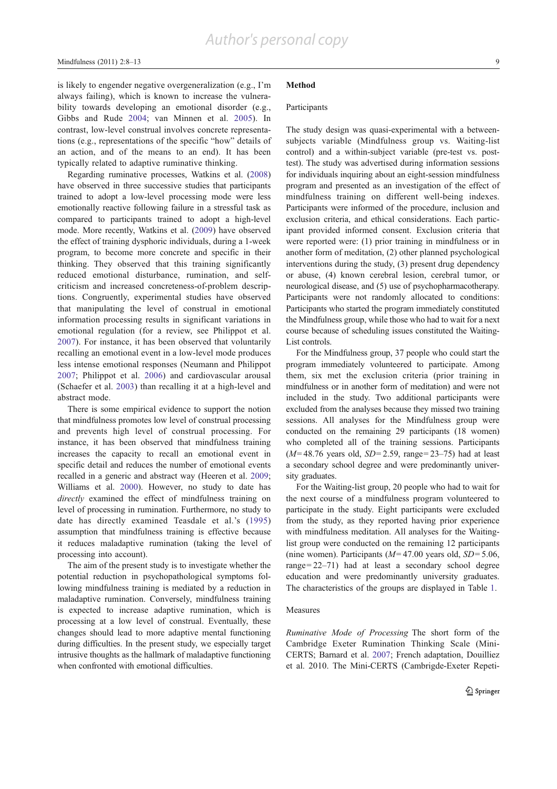is likely to engender negative overgeneralization (e.g., I'm always failing), which is known to increase the vulnerability towards developing an emotional disorder (e.g., Gibbs and Rude 2004; van Minnen et al. 2005). In contrast, low-level construal involves concrete representations (e.g., representations of the specific "how" details of an action, and of the means to an end). It has been typically related to adaptive ruminative thinking.

Regarding ruminative processes, Watkins et al. (2008) have observed in three successive studies that participants trained to adopt a low-level processing mode were less emotionally reactive following failure in a stressful task as compared to participants trained to adopt a high-level mode. More recently, Watkins et al. (2009) have observed the effect of training dysphoric individuals, during a 1-week program, to become more concrete and specific in their thinking. They observed that this training significantly reduced emotional disturbance, rumination, and selfcriticism and increased concreteness-of-problem descriptions. Congruently, experimental studies have observed that manipulating the level of construal in emotional information processing results in significant variations in emotional regulation (for a review, see Philippot et al. 2007). For instance, it has been observed that voluntarily recalling an emotional event in a low-level mode produces less intense emotional responses (Neumann and Philippot 2007; Philippot et al. 2006) and cardiovascular arousal (Schaefer et al. 2003) than recalling it at a high-level and abstract mode.

There is some empirical evidence to support the notion that mindfulness promotes low level of construal processing and prevents high level of construal processing. For instance, it has been observed that mindfulness training increases the capacity to recall an emotional event in specific detail and reduces the number of emotional events recalled in a generic and abstract way (Heeren et al. 2009; Williams et al. 2000). However, no study to date has directly examined the effect of mindfulness training on level of processing in rumination. Furthermore, no study to date has directly examined Teasdale et al.'s (1995) assumption that mindfulness training is effective because it reduces maladaptive rumination (taking the level of processing into account).

The aim of the present study is to investigate whether the potential reduction in psychopathological symptoms following mindfulness training is mediated by a reduction in maladaptive rumination. Conversely, mindfulness training is expected to increase adaptive rumination, which is processing at a low level of construal. Eventually, these changes should lead to more adaptive mental functioning during difficulties. In the present study, we especially target intrusive thoughts as the hallmark of maladaptive functioning when confronted with emotional difficulties.

## Method

# Participants

The study design was quasi-experimental with a betweensubjects variable (Mindfulness group vs. Waiting-list control) and a within-subject variable (pre-test vs. posttest). The study was advertised during information sessions for individuals inquiring about an eight-session mindfulness program and presented as an investigation of the effect of mindfulness training on different well-being indexes. Participants were informed of the procedure, inclusion and exclusion criteria, and ethical considerations. Each participant provided informed consent. Exclusion criteria that were reported were: (1) prior training in mindfulness or in another form of meditation, (2) other planned psychological interventions during the study, (3) present drug dependency or abuse, (4) known cerebral lesion, cerebral tumor, or neurological disease, and (5) use of psychopharmacotherapy. Participants were not randomly allocated to conditions: Participants who started the program immediately constituted the Mindfulness group, while those who had to wait for a next course because of scheduling issues constituted the Waiting-List controls.

For the Mindfulness group, 37 people who could start the program immediately volunteered to participate. Among them, six met the exclusion criteria (prior training in mindfulness or in another form of meditation) and were not included in the study. Two additional participants were excluded from the analyses because they missed two training sessions. All analyses for the Mindfulness group were conducted on the remaining 29 participants (18 women) who completed all of the training sessions. Participants  $(M=48.76$  years old,  $SD=2.59$ , range=23–75) had at least a secondary school degree and were predominantly university graduates.

For the Waiting-list group, 20 people who had to wait for the next course of a mindfulness program volunteered to participate in the study. Eight participants were excluded from the study, as they reported having prior experience with mindfulness meditation. All analyses for the Waitinglist group were conducted on the remaining 12 participants (nine women). Participants ( $M=47.00$  years old,  $SD=5.06$ , range=22–71) had at least a secondary school degree education and were predominantly university graduates. The characteristics of the groups are displayed in Table 1.

## Measures

Ruminative Mode of Processing The short form of the Cambridge Exeter Rumination Thinking Scale (Mini-CERTS; Barnard et al. 2007; French adaptation, Douilliez et al. 2010. The Mini-CERTS (Cambrigde-Exeter Repeti-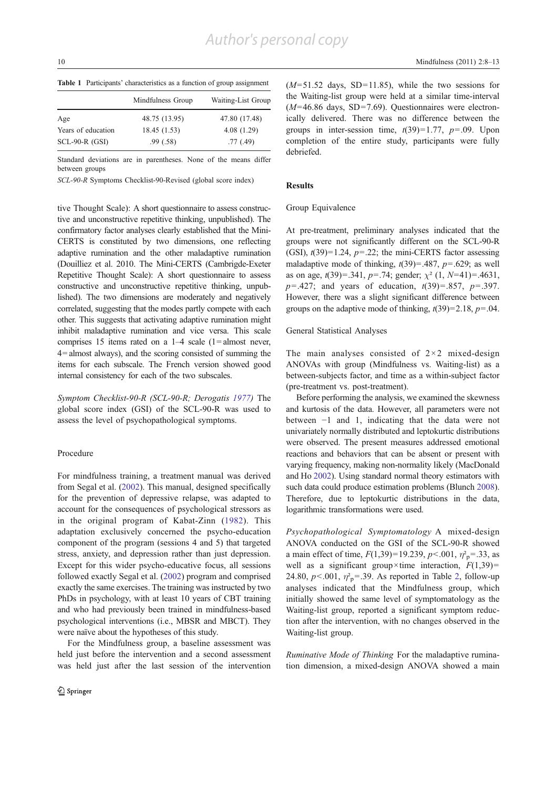Table 1 Participants' characteristics as a function of group assignment

|                    | Mindfulness Group | Waiting-List Group |  |
|--------------------|-------------------|--------------------|--|
| Age                | 48.75 (13.95)     | 47.80 (17.48)      |  |
| Years of education | 18.45 (1.53)      | 4.08(1.29)         |  |
| $SCL-90-R$ (GSI)   | .99(0.58)         | .77(0.49)          |  |

Standard deviations are in parentheses. None of the means differ between groups

SCL-90-R Symptoms Checklist-90-Revised (global score index)

tive Thought Scale): A short questionnaire to assess constructive and unconstructive repetitive thinking, unpublished). The confirmatory factor analyses clearly established that the Mini-CERTS is constituted by two dimensions, one reflecting adaptive rumination and the other maladaptive rumination (Douilliez et al. 2010. The Mini-CERTS (Cambrigde-Exeter Repetitive Thought Scale): A short questionnaire to assess constructive and unconstructive repetitive thinking, unpublished). The two dimensions are moderately and negatively correlated, suggesting that the modes partly compete with each other. This suggests that activating adaptive rumination might inhibit maladaptive rumination and vice versa. This scale comprises 15 items rated on a  $1-4$  scale (1=almost never, 4=almost always), and the scoring consisted of summing the items for each subscale. The French version showed good internal consistency for each of the two subscales.

Symptom Checklist-90-R (SCL-90-R; Derogatis 1977) The global score index (GSI) of the SCL-90-R was used to assess the level of psychopathological symptoms.

#### Procedure

For mindfulness training, a treatment manual was derived from Segal et al. (2002). This manual, designed specifically for the prevention of depressive relapse, was adapted to account for the consequences of psychological stressors as in the original program of Kabat-Zinn (1982). This adaptation exclusively concerned the psycho-education component of the program (sessions 4 and 5) that targeted stress, anxiety, and depression rather than just depression. Except for this wider psycho-educative focus, all sessions followed exactly Segal et al. (2002) program and comprised exactly the same exercises. The training was instructed by two PhDs in psychology, with at least 10 years of CBT training and who had previously been trained in mindfulness-based psychological interventions (i.e., MBSR and MBCT). They were naïve about the hypotheses of this study.

For the Mindfulness group, a baseline assessment was held just before the intervention and a second assessment was held just after the last session of the intervention  $(M=51.52$  days, SD=11.85), while the two sessions for the Waiting-list group were held at a similar time-interval  $(M=46.86$  days, SD=7.69). Questionnaires were electronically delivered. There was no difference between the groups in inter-session time,  $t(39)=1.77$ ,  $p=.09$ . Upon completion of the entire study, participants were fully debriefed.

#### Results

#### Group Equivalence

At pre-treatment, preliminary analyses indicated that the groups were not significantly different on the SCL-90-R (GSI),  $t(39)=1.24$ ,  $p=.22$ ; the mini-CERTS factor assessing maladaptive mode of thinking,  $t(39)=.487$ ,  $p=.629$ ; as well as on age,  $t(39)=.341$ ,  $p=.74$ ; gender;  $\chi^2$  (1,  $N=41$ )=.4631,  $p = .427$ ; and years of education,  $t(39) = .857$ ,  $p = .397$ . However, there was a slight significant difference between groups on the adaptive mode of thinking,  $t(39)=2.18$ ,  $p=.04$ .

#### General Statistical Analyses

The main analyses consisted of  $2 \times 2$  mixed-design ANOVAs with group (Mindfulness vs. Waiting-list) as a between-subjects factor, and time as a within-subject factor (pre-treatment vs. post-treatment).

Before performing the analysis, we examined the skewness and kurtosis of the data. However, all parameters were not between −1 and 1, indicating that the data were not univariately normally distributed and leptokurtic distributions were observed. The present measures addressed emotional reactions and behaviors that can be absent or present with varying frequency, making non-normality likely (MacDonald and Ho 2002). Using standard normal theory estimators with such data could produce estimation problems (Blunch 2008). Therefore, due to leptokurtic distributions in the data, logarithmic transformations were used.

Psychopathological Symptomatology A mixed-design ANOVA conducted on the GSI of the SCL-90-R showed a main effect of time,  $F(1,39) = 19.239$ ,  $p < .001$ ,  $\eta_{\text{p}}^2 = .33$ , as well as a significant group×time interaction,  $F(1,39)$ = 24.80,  $p<.001$ ,  $\eta^2 = 0.39$ . As reported in Table 2, follow-up analyses indicated that the Mindfulness group, which initially showed the same level of symptomatology as the Waiting-list group, reported a significant symptom reduction after the intervention, with no changes observed in the Waiting-list group.

Ruminative Mode of Thinking For the maladaptive rumination dimension, a mixed-design ANOVA showed a main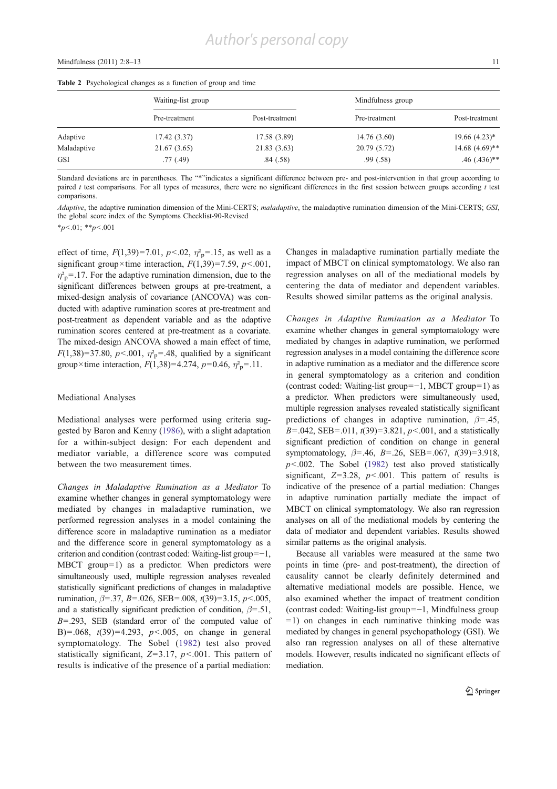|  | <b>Table 2</b> Psychological changes as a function of group and time |  |  |  |  |
|--|----------------------------------------------------------------------|--|--|--|--|
|--|----------------------------------------------------------------------|--|--|--|--|

|             | Waiting-list group |                | Mindfulness group |                   |
|-------------|--------------------|----------------|-------------------|-------------------|
|             | Pre-treatment      | Post-treatment | Pre-treatment     | Post-treatment    |
| Adaptive    | 17.42(3.37)        | 17.58 (3.89)   | 14.76 (3.60)      | $19.66(4.23)^*$   |
| Maladaptive | 21.67 (3.65)       | 21.83 (3.63)   | 20.79 (5.72)      | $14.68 (4.69)$ ** |
| <b>GSI</b>  | .77(0.49)          | .84(.58)       | .99(.58)          | $.46$ $(.436)$ ** |

Standard deviations are in parentheses. The "\*"indicates a significant difference between pre- and post-intervention in that group according to paired  $t$  test comparisons. For all types of measures, there were no significant differences in the first session between groups according  $t$  test comparisons.

Adaptive, the adaptive rumination dimension of the Mini-CERTS; maladaptive, the maladaptive rumination dimension of the Mini-CERTS; GSI, the global score index of the Symptoms Checklist-90-Revised

 $*_{p<.01;}$   $*_{p<.001}$ 

effect of time,  $F(1,39)=7.01$ ,  $p<.02$ ,  $\eta_p^2=.15$ , as well as a significant group×time interaction,  $F(1,39)=7.59$ ,  $p<.001$ ,  $\eta_{\rm p}^2$ =.17. For the adaptive rumination dimension, due to the significant differences between groups at pre-treatment, a mixed-design analysis of covariance (ANCOVA) was conducted with adaptive rumination scores at pre-treatment and post-treatment as dependent variable and as the adaptive rumination scores centered at pre-treatment as a covariate. The mixed-design ANCOVA showed a main effect of time,  $F(1,38)=37.80, p<.001, \eta_p^2=0.48,$  qualified by a significant group×time interaction,  $F(1,38)=4.274$ ,  $p=0.46$ ,  $\eta_{p}^{2}=11$ .

## Mediational Analyses

Mediational analyses were performed using criteria suggested by Baron and Kenny (1986), with a slight adaptation for a within-subject design: For each dependent and mediator variable, a difference score was computed between the two measurement times.

Changes in Maladaptive Rumination as a Mediator To examine whether changes in general symptomatology were mediated by changes in maladaptive rumination, we performed regression analyses in a model containing the difference score in maladaptive rumination as a mediator and the difference score in general symptomatology as a criterion and condition (contrast coded: Waiting-list group=−1, MBCT group=1) as a predictor. When predictors were simultaneously used, multiple regression analyses revealed statistically significant predictions of changes in maladaptive rumination,  $\beta$ =.37, B=.026, SEB=.008, t(39)=3.15, p <.005, and a statistically significant prediction of condition,  $\beta = .51$ ,  $B = .293$ , SEB (standard error of the computed value of B)=.068,  $t(39)=4.293$ ,  $p<.005$ , on change in general symptomatology. The Sobel (1982) test also proved statistically significant,  $Z=3.17$ ,  $p<.001$ . This pattern of results is indicative of the presence of a partial mediation: Changes in maladaptive rumination partially mediate the impact of MBCT on clinical symptomatology. We also ran regression analyses on all of the mediational models by centering the data of mediator and dependent variables. Results showed similar patterns as the original analysis.

Changes in Adaptive Rumination as a Mediator To examine whether changes in general symptomatology were mediated by changes in adaptive rumination, we performed regression analyses in a model containing the difference score in adaptive rumination as a mediator and the difference score in general symptomatology as a criterion and condition (contrast coded: Waiting-list group=−1, MBCT group=1) as a predictor. When predictors were simultaneously used, multiple regression analyses revealed statistically significant predictions of changes in adaptive rumination,  $\beta = .45$ ,  $B = .042$ , SEB = .011,  $t(39) = 3.821$ ,  $p < .001$ , and a statistically significant prediction of condition on change in general symptomatology,  $\beta$ =.46,  $B$ =.26, SEB=.067,  $t(39)$ =3.918,  $p$ <.002. The Sobel (1982) test also proved statistically significant,  $Z=3.28$ ,  $p<.001$ . This pattern of results is indicative of the presence of a partial mediation: Changes in adaptive rumination partially mediate the impact of MBCT on clinical symptomatology. We also ran regression analyses on all of the mediational models by centering the data of mediator and dependent variables. Results showed similar patterns as the original analysis.

Because all variables were measured at the same two points in time (pre- and post-treatment), the direction of causality cannot be clearly definitely determined and alternative mediational models are possible. Hence, we also examined whether the impact of treatment condition (contrast coded: Waiting-list group=−1, Mindfulness group  $=1$ ) on changes in each ruminative thinking mode was mediated by changes in general psychopathology (GSI). We also ran regression analyses on all of these alternative models. However, results indicated no significant effects of mediation.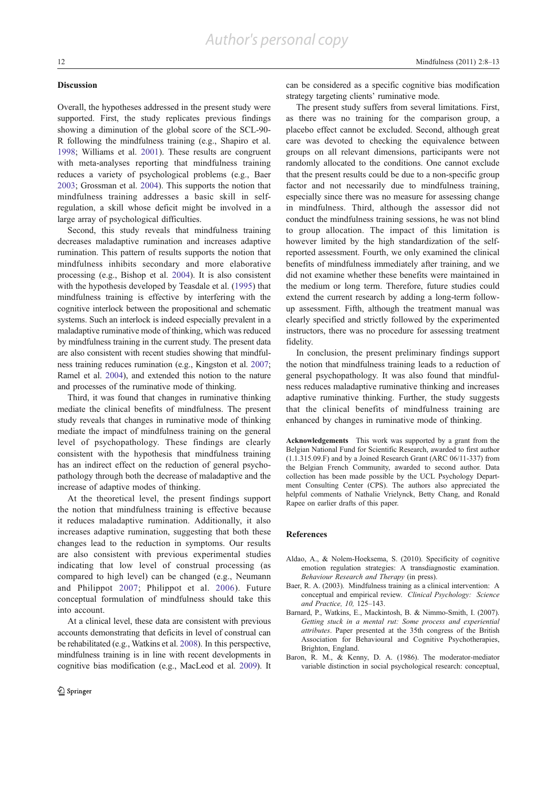## Discussion

Overall, the hypotheses addressed in the present study were supported. First, the study replicates previous findings showing a diminution of the global score of the SCL-90- R following the mindfulness training (e.g., Shapiro et al. 1998; Williams et al. 2001). These results are congruent with meta-analyses reporting that mindfulness training reduces a variety of psychological problems (e.g., Baer 2003; Grossman et al. 2004). This supports the notion that mindfulness training addresses a basic skill in selfregulation, a skill whose deficit might be involved in a large array of psychological difficulties.

Second, this study reveals that mindfulness training decreases maladaptive rumination and increases adaptive rumination. This pattern of results supports the notion that mindfulness inhibits secondary and more elaborative processing (e.g., Bishop et al. 2004). It is also consistent with the hypothesis developed by Teasdale et al. (1995) that mindfulness training is effective by interfering with the cognitive interlock between the propositional and schematic systems. Such an interlock is indeed especially prevalent in a maladaptive ruminative mode of thinking, which was reduced by mindfulness training in the current study. The present data are also consistent with recent studies showing that mindfulness training reduces rumination (e.g., Kingston et al. 2007; Ramel et al. 2004), and extended this notion to the nature and processes of the ruminative mode of thinking.

Third, it was found that changes in ruminative thinking mediate the clinical benefits of mindfulness. The present study reveals that changes in ruminative mode of thinking mediate the impact of mindfulness training on the general level of psychopathology. These findings are clearly consistent with the hypothesis that mindfulness training has an indirect effect on the reduction of general psychopathology through both the decrease of maladaptive and the increase of adaptive modes of thinking.

At the theoretical level, the present findings support the notion that mindfulness training is effective because it reduces maladaptive rumination. Additionally, it also increases adaptive rumination, suggesting that both these changes lead to the reduction in symptoms. Our results are also consistent with previous experimental studies indicating that low level of construal processing (as compared to high level) can be changed (e.g., Neumann and Philippot 2007; Philippot et al. 2006). Future conceptual formulation of mindfulness should take this into account.

At a clinical level, these data are consistent with previous accounts demonstrating that deficits in level of construal can be rehabilitated (e.g., Watkins et al. 2008). In this perspective, mindfulness training is in line with recent developments in cognitive bias modification (e.g., MacLeod et al. 2009). It can be considered as a specific cognitive bias modification strategy targeting clients' ruminative mode.

The present study suffers from several limitations. First, as there was no training for the comparison group, a placebo effect cannot be excluded. Second, although great care was devoted to checking the equivalence between groups on all relevant dimensions, participants were not randomly allocated to the conditions. One cannot exclude that the present results could be due to a non-specific group factor and not necessarily due to mindfulness training, especially since there was no measure for assessing change in mindfulness. Third, although the assessor did not conduct the mindfulness training sessions, he was not blind to group allocation. The impact of this limitation is however limited by the high standardization of the selfreported assessment. Fourth, we only examined the clinical benefits of mindfulness immediately after training, and we did not examine whether these benefits were maintained in the medium or long term. Therefore, future studies could extend the current research by adding a long-term followup assessment. Fifth, although the treatment manual was clearly specified and strictly followed by the experimented instructors, there was no procedure for assessing treatment fidelity.

In conclusion, the present preliminary findings support the notion that mindfulness training leads to a reduction of general psychopathology. It was also found that mindfulness reduces maladaptive ruminative thinking and increases adaptive ruminative thinking. Further, the study suggests that the clinical benefits of mindfulness training are enhanced by changes in ruminative mode of thinking.

Acknowledgements This work was supported by a grant from the Belgian National Fund for Scientific Research, awarded to first author (1.1.315.09.F) and by a Joined Research Grant (ARC 06/11-337) from the Belgian French Community, awarded to second author. Data collection has been made possible by the UCL Psychology Department Consulting Center (CPS). The authors also appreciated the helpful comments of Nathalie Vrielynck, Betty Chang, and Ronald Rapee on earlier drafts of this paper.

#### **References**

- Aldao, A., & Nolem-Hoeksema, S. (2010). Specificity of cognitive emotion regulation strategies: A transdiagnostic examination. Behaviour Research and Therapy (in press).
- Baer, R. A. (2003). Mindfulness training as a clinical intervention: A conceptual and empirical review. Clinical Psychology: Science and Practice, 10, 125–143.
- Barnard, P., Watkins, E., Mackintosh, B. & Nimmo-Smith, I. (2007). Getting stuck in a mental rut: Some process and experiential attributes. Paper presented at the 35th congress of the British Association for Behavioural and Cognitive Psychotherapies, Brighton, England.
- Baron, R. M., & Kenny, D. A. (1986). The moderator-mediator variable distinction in social psychological research: conceptual,